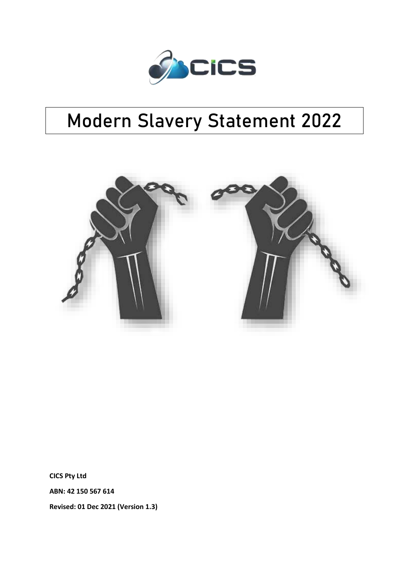

# **Modern Slavery Statement 2022**



**CICS Pty Ltd**

**ABN: 42 150 567 614**

**Revised: 01 Dec 2021 (Version 1.3)**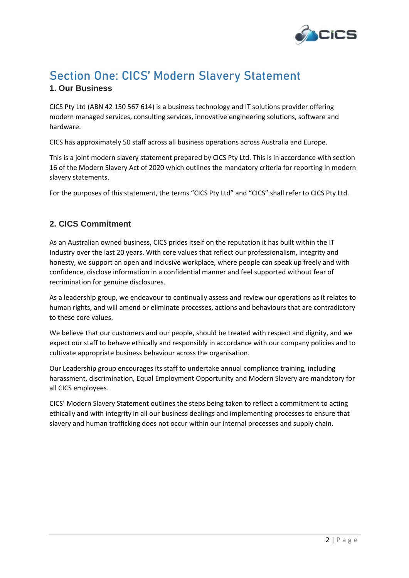

## **Section One: CICS' Modern Slavery Statement**

## **1. Our Business**

CICS Pty Ltd (ABN 42 150 567 614) is a business technology and IT solutions provider offering modern managed services, consulting services, innovative engineering solutions, software and hardware.

CICS has approximately 50 staff across all business operations across Australia and Europe.

This is a joint modern slavery statement prepared by CICS Pty Ltd. This is in accordance with section 16 of the Modern Slavery Act of 2020 which outlines the mandatory criteria for reporting in modern slavery statements.

For the purposes of this statement, the terms "CICS Pty Ltd" and "CICS" shall refer to CICS Pty Ltd.

## **2. CICS Commitment**

As an Australian owned business, CICS prides itself on the reputation it has built within the IT Industry over the last 20 years. With core values that reflect our professionalism, integrity and honesty, we support an open and inclusive workplace, where people can speak up freely and with confidence, disclose information in a confidential manner and feel supported without fear of recrimination for genuine disclosures.

As a leadership group, we endeavour to continually assess and review our operations as it relates to human rights, and will amend or eliminate processes, actions and behaviours that are contradictory to these core values.

We believe that our customers and our people, should be treated with respect and dignity, and we expect our staff to behave ethically and responsibly in accordance with our company policies and to cultivate appropriate business behaviour across the organisation.

Our Leadership group encourages its staff to undertake annual compliance training, including harassment, discrimination, Equal Employment Opportunity and Modern Slavery are mandatory for all CICS employees.

CICS' Modern Slavery Statement outlines the steps being taken to reflect a commitment to acting ethically and with integrity in all our business dealings and implementing processes to ensure that slavery and human trafficking does not occur within our internal processes and supply chain.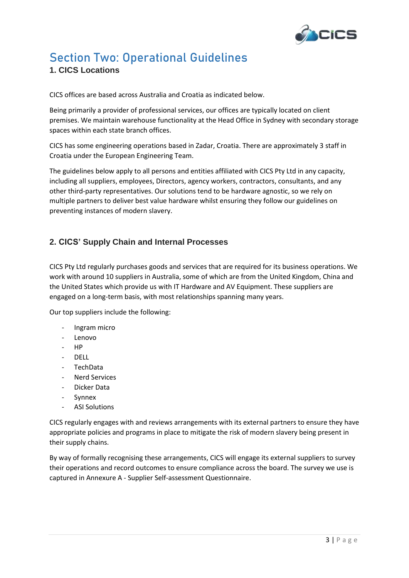

## **Section Two: Operational Guidelines**

### **1. CICS Locations**

CICS offices are based across Australia and Croatia as indicated below.

Being primarily a provider of professional services, our offices are typically located on client premises. We maintain warehouse functionality at the Head Office in Sydney with secondary storage spaces within each state branch offices.

CICS has some engineering operations based in Zadar, Croatia. There are approximately 3 staff in Croatia under the European Engineering Team.

The guidelines below apply to all persons and entities affiliated with CICS Pty Ltd in any capacity, including all suppliers, employees, Directors, agency workers, contractors, consultants, and any other third-party representatives. Our solutions tend to be hardware agnostic, so we rely on multiple partners to deliver best value hardware whilst ensuring they follow our guidelines on preventing instances of modern slavery.

## **2. CICS' Supply Chain and Internal Processes**

CICS Pty Ltd regularly purchases goods and services that are required for its business operations. We work with around 10 suppliers in Australia, some of which are from the United Kingdom, China and the United States which provide us with IT Hardware and AV Equipment. These suppliers are engaged on a long-term basis, with most relationships spanning many years.

Our top suppliers include the following:

- Ingram micro
- Lenovo
- HP
- DELL
- TechData
- Nerd Services
- Dicker Data
- **Synnex**
- **ASI Solutions**

CICS regularly engages with and reviews arrangements with its external partners to ensure they have appropriate policies and programs in place to mitigate the risk of modern slavery being present in their supply chains.

By way of formally recognising these arrangements, CICS will engage its external suppliers to survey their operations and record outcomes to ensure compliance across the board. The survey we use is captured in Annexure A - Supplier Self-assessment Questionnaire.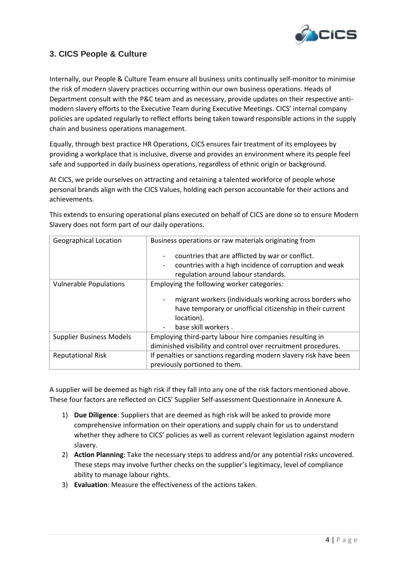

## **3. CICS People & Culture**

Internally, our People & Culture Team ensure all business units continually self-monitor to minimise the risk of modern slavery practices occurring within our own business operations. Heads of Department consult with the P&C team and as necessary, provide updates on their respective antimodern slavery efforts to the Executive Team during Executive Meetings. CICS' internal company policies are updated regularly to reflect efforts being taken toward responsible actions in the supply chain and business operations management.

Equally, through best practice HR Operations, CICS ensures fair treatment of its employees by providing a workplace that is inclusive, diverse and provides an environment where its people feel safe and supported in daily business operations, regardless of ethnic origin or background.

At CICS, we pride ourselves on attracting and retaining a talented workforce of people whose personal brands align with the CICS Values, holding each person accountable for their actions and achievements.

This extends to ensuring operational plans executed on behalf of CICS are done so to ensure Modern Slavery does not form part of our daily operations.

| <b>Geographical Location</b>    | Business operations or raw materials originating from                                                                                                     |
|---------------------------------|-----------------------------------------------------------------------------------------------------------------------------------------------------------|
|                                 | countries that are afflicted by war or conflict.<br>countries with a high incidence of corruption and weak<br>regulation around labour standards.         |
| <b>Vulnerable Populations</b>   | Employing the following worker categories:                                                                                                                |
|                                 | migrant workers (individuals working across borders who<br>have temporary or unofficial citizenship in their current<br>location).<br>base skill workers. |
| <b>Supplier Business Models</b> | Employing third-party labour hire companies resulting in                                                                                                  |
|                                 | diminished visibility and control over recruitment procedures.                                                                                            |
| <b>Reputational Risk</b>        | If penalties or sanctions regarding modern slavery risk have been                                                                                         |
|                                 | previously portioned to them.                                                                                                                             |

A supplier will be deemed as high risk if they fall into any one of the risk factors mentioned above. These four factors are reflected on CICS' Supplier Self-assessment Questionnaire in Annexure A.

- 1) **Due Diligence**: Suppliers that are deemed as high risk will be asked to provide more comprehensive information on their operations and supply chain for us to understand whether they adhere to CICS' policies as well as current relevant legislation against modern slavery.
- 2) **Action Planning**: Take the necessary steps to address and/or any potential risks uncovered. These steps may involve further checks on the supplier's legitimacy, level of compliance ability to manage labour rights.
- 3) **Evaluation**: Measure the effectiveness of the actions taken.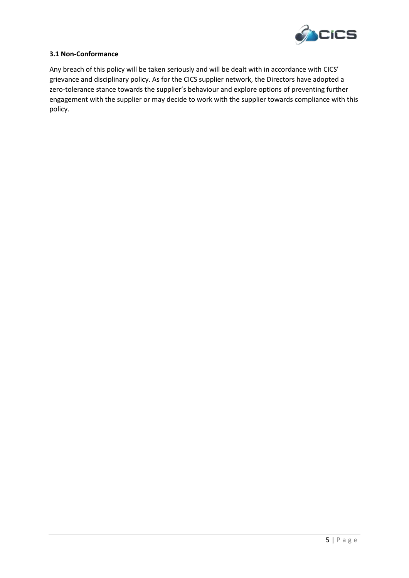

#### **3.1 Non-Conformance**

Any breach of this policy will be taken seriously and will be dealt with in accordance with CICS' grievance and disciplinary policy. As for the CICS supplier network, the Directors have adopted a zero-tolerance stance towards the supplier's behaviour and explore options of preventing further engagement with the supplier or may decide to work with the supplier towards compliance with this policy.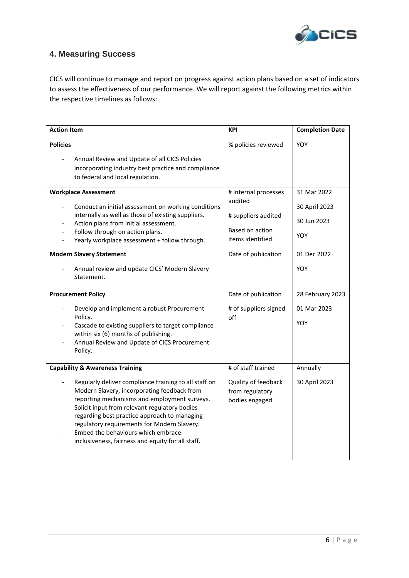

## **4. Measuring Success**

CICS will continue to manage and report on progress against action plans based on a set of indicators to assess the effectiveness of our performance. We will report against the following metrics within the respective timelines as follows:

| <b>Action Item</b>                                                                                                                                                                                                                                                                                                                                                                                                                                                                                                    | <b>KPI</b>                                                                                                                                                                  | <b>Completion Date</b>                                                                                      |
|-----------------------------------------------------------------------------------------------------------------------------------------------------------------------------------------------------------------------------------------------------------------------------------------------------------------------------------------------------------------------------------------------------------------------------------------------------------------------------------------------------------------------|-----------------------------------------------------------------------------------------------------------------------------------------------------------------------------|-------------------------------------------------------------------------------------------------------------|
| <b>Policies</b><br>Annual Review and Update of all CICS Policies<br>incorporating industry best practice and compliance<br>to federal and local regulation.                                                                                                                                                                                                                                                                                                                                                           | % policies reviewed                                                                                                                                                         | YOY                                                                                                         |
| <b>Workplace Assessment</b><br>Conduct an initial assessment on working conditions<br>$\overline{\phantom{0}}$<br>internally as well as those of existing suppliers.<br>Action plans from initial assessment.<br>Follow through on action plans.<br>Yearly workplace assessment + follow through.<br><b>Modern Slavery Statement</b><br>Annual review and update CICS' Modern Slavery<br>Statement.<br><b>Procurement Policy</b><br>Develop and implement a robust Procurement<br>$\overline{\phantom{0}}$<br>Policy. | # internal processes<br>audited<br># suppliers audited<br>Based on action<br>items identified<br>Date of publication<br>Date of publication<br># of suppliers signed<br>off | 31 Mar 2022<br>30 April 2023<br>30 Jun 2023<br>YOY<br>01 Dec 2022<br>YOY<br>28 February 2023<br>01 Mar 2023 |
| Cascade to existing suppliers to target compliance<br>within six (6) months of publishing.<br>Annual Review and Update of CICS Procurement<br>Policy.                                                                                                                                                                                                                                                                                                                                                                 |                                                                                                                                                                             | YOY                                                                                                         |
| <b>Capability &amp; Awareness Training</b><br>Regularly deliver compliance training to all staff on<br>Modern Slavery, incorporating feedback from<br>reporting mechanisms and employment surveys.<br>Solicit input from relevant regulatory bodies<br>regarding best practice approach to managing<br>regulatory requirements for Modern Slavery.<br>Embed the behaviours which embrace<br>inclusiveness, fairness and equity for all staff.                                                                         | # of staff trained<br>Quality of feedback<br>from regulatory<br>bodies engaged                                                                                              | Annually<br>30 April 2023                                                                                   |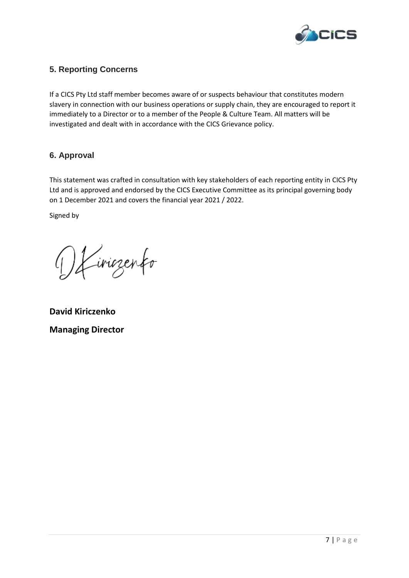

## **5. Reporting Concerns**

If a CICS Pty Ltd staff member becomes aware of or suspects behaviour that constitutes modern slavery in connection with our business operations or supply chain, they are encouraged to report it immediately to a Director or to a member of the People & Culture Team. All matters will be investigated and dealt with in accordance with the CICS Grievance policy.

### **6. Approval**

This statement was crafted in consultation with key stakeholders of each reporting entity in CICS Pty Ltd and is approved and endorsed by the CICS Executive Committee as its principal governing body on 1 December 2021 and covers the financial year 2021 / 2022.

Signed by

Virigenfo

**David Kiriczenko Managing Director**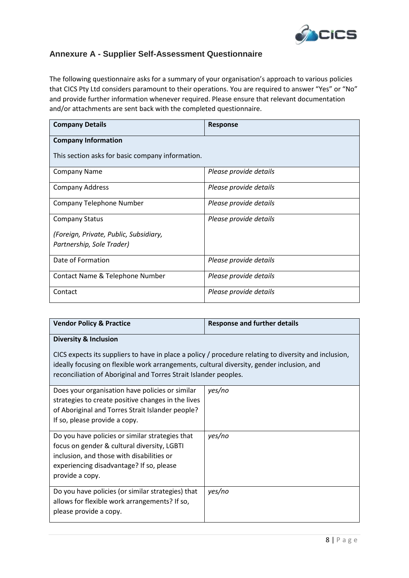

## **Annexure A - Supplier Self-Assessment Questionnaire**

The following questionnaire asks for a summary of your organisation's approach to various policies that CICS Pty Ltd considers paramount to their operations. You are required to answer "Yes" or "No" and provide further information whenever required. Please ensure that relevant documentation and/or attachments are sent back with the completed questionnaire.

| <b>Company Details</b>                           | <b>Response</b>        |  |
|--------------------------------------------------|------------------------|--|
| <b>Company Information</b>                       |                        |  |
| This section asks for basic company information. |                        |  |
| <b>Company Name</b>                              | Please provide details |  |
| <b>Company Address</b>                           | Please provide details |  |
| Company Telephone Number                         | Please provide details |  |
| <b>Company Status</b>                            | Please provide details |  |
| (Foreign, Private, Public, Subsidiary,           |                        |  |
| Partnership, Sole Trader)                        |                        |  |
| Date of Formation                                | Please provide details |  |
| Contact Name & Telephone Number                  | Please provide details |  |
| Contact                                          | Please provide details |  |

| <b>Vendor Policy &amp; Practice</b>                                                                                                                                                                                                                                    | <b>Response and further details</b> |  |
|------------------------------------------------------------------------------------------------------------------------------------------------------------------------------------------------------------------------------------------------------------------------|-------------------------------------|--|
| <b>Diversity &amp; Inclusion</b>                                                                                                                                                                                                                                       |                                     |  |
| CICS expects its suppliers to have in place a policy / procedure relating to diversity and inclusion,<br>ideally focusing on flexible work arrangements, cultural diversity, gender inclusion, and<br>reconciliation of Aboriginal and Torres Strait Islander peoples. |                                     |  |
| Does your organisation have policies or similar<br>strategies to create positive changes in the lives<br>of Aboriginal and Torres Strait Islander people?<br>If so, please provide a copy.                                                                             | yes/no                              |  |
| Do you have policies or similar strategies that<br>focus on gender & cultural diversity, LGBTI<br>inclusion, and those with disabilities or<br>experiencing disadvantage? If so, please<br>provide a copy.                                                             | yes/no                              |  |
| Do you have policies (or similar strategies) that<br>allows for flexible work arrangements? If so,<br>please provide a copy.                                                                                                                                           | yes/no                              |  |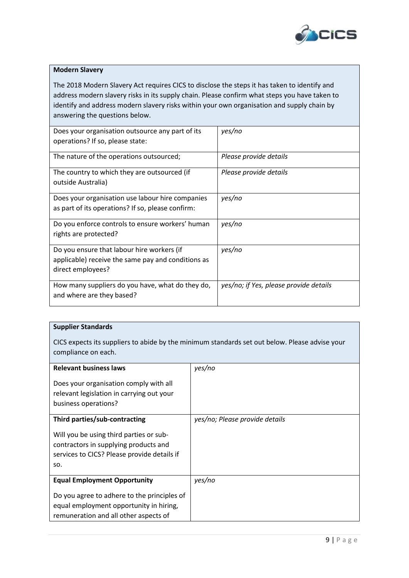

#### **Modern Slavery**

The 2018 Modern Slavery Act requires CICS to disclose the steps it has taken to identify and address modern slavery risks in its supply chain. Please confirm what steps you have taken to identify and address modern slavery risks within your own organisation and supply chain by answering the questions below.

| yes/no                                 |
|----------------------------------------|
|                                        |
| Please provide details                 |
| Please provide details                 |
|                                        |
| yes/no                                 |
|                                        |
| yes/no                                 |
|                                        |
| yes/no                                 |
|                                        |
|                                        |
| yes/no; if Yes, please provide details |
|                                        |
|                                        |

#### **Supplier Standards**

CICS expects its suppliers to abide by the minimum standards set out below. Please advise your compliance on each.

| <b>Relevant business laws</b>                                                                                                          | yes/no                         |
|----------------------------------------------------------------------------------------------------------------------------------------|--------------------------------|
| Does your organisation comply with all<br>relevant legislation in carrying out your<br>business operations?                            |                                |
| Third parties/sub-contracting                                                                                                          | yes/no; Please provide details |
| Will you be using third parties or sub-<br>contractors in supplying products and<br>services to CICS? Please provide details if<br>SO. |                                |
| <b>Equal Employment Opportunity</b>                                                                                                    | yes/no                         |
| Do you agree to adhere to the principles of<br>equal employment opportunity in hiring,<br>remuneration and all other aspects of        |                                |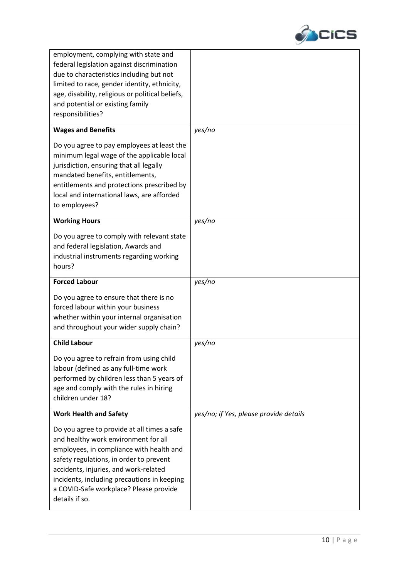

| employment, complying with state and<br>federal legislation against discrimination<br>due to characteristics including but not<br>limited to race, gender identity, ethnicity,<br>age, disability, religious or political beliefs,<br>and potential or existing family<br>responsibilities? |                                        |
|---------------------------------------------------------------------------------------------------------------------------------------------------------------------------------------------------------------------------------------------------------------------------------------------|----------------------------------------|
| <b>Wages and Benefits</b><br>Do you agree to pay employees at least the<br>minimum legal wage of the applicable local                                                                                                                                                                       | yes/no                                 |
| jurisdiction, ensuring that all legally<br>mandated benefits, entitlements,<br>entitlements and protections prescribed by<br>local and international laws, are afforded<br>to employees?                                                                                                    |                                        |
| <b>Working Hours</b>                                                                                                                                                                                                                                                                        | yes/no                                 |
| Do you agree to comply with relevant state<br>and federal legislation, Awards and<br>industrial instruments regarding working<br>hours?                                                                                                                                                     |                                        |
| <b>Forced Labour</b>                                                                                                                                                                                                                                                                        | yes/no                                 |
| Do you agree to ensure that there is no<br>forced labour within your business<br>whether within your internal organisation<br>and throughout your wider supply chain?                                                                                                                       |                                        |
| <b>Child Labour</b>                                                                                                                                                                                                                                                                         |                                        |
|                                                                                                                                                                                                                                                                                             | yes/no                                 |
| Do you agree to refrain from using child<br>labour (defined as any full-time work<br>performed by children less than 5 years of<br>age and comply with the rules in hiring<br>children under 18?                                                                                            |                                        |
| <b>Work Health and Safety</b>                                                                                                                                                                                                                                                               | yes/no; if Yes, please provide details |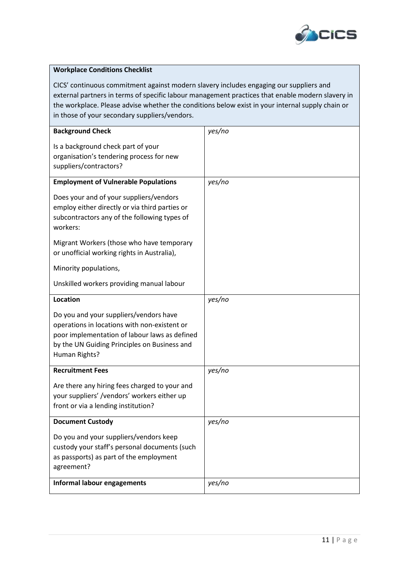

#### **Workplace Conditions Checklist**

CICS' continuous commitment against modern slavery includes engaging our suppliers and external partners in terms of specific labour management practices that enable modern slavery in the workplace. Please advise whether the conditions below exist in your internal supply chain or in those of your secondary suppliers/vendors.

| <b>Background Check</b>                                                                                                                                                                                  | yes/no |
|----------------------------------------------------------------------------------------------------------------------------------------------------------------------------------------------------------|--------|
| Is a background check part of your<br>organisation's tendering process for new<br>suppliers/contractors?                                                                                                 |        |
| <b>Employment of Vulnerable Populations</b>                                                                                                                                                              | yes/no |
| Does your and of your suppliers/vendors<br>employ either directly or via third parties or<br>subcontractors any of the following types of<br>workers:                                                    |        |
| Migrant Workers (those who have temporary<br>or unofficial working rights in Australia),                                                                                                                 |        |
| Minority populations,                                                                                                                                                                                    |        |
| Unskilled workers providing manual labour                                                                                                                                                                |        |
| <b>Location</b>                                                                                                                                                                                          | yes/no |
| Do you and your suppliers/vendors have<br>operations in locations with non-existent or<br>poor implementation of labour laws as defined<br>by the UN Guiding Principles on Business and<br>Human Rights? |        |
| <b>Recruitment Fees</b>                                                                                                                                                                                  | yes/no |
| Are there any hiring fees charged to your and<br>your suppliers' /vendors' workers either up<br>front or via a lending institution?                                                                      |        |
| <b>Document Custody</b>                                                                                                                                                                                  | yes/no |
| Do you and your suppliers/vendors keep<br>custody your staff's personal documents (such<br>as passports) as part of the employment<br>agreement?                                                         |        |
| <b>Informal labour engagements</b>                                                                                                                                                                       | yes/no |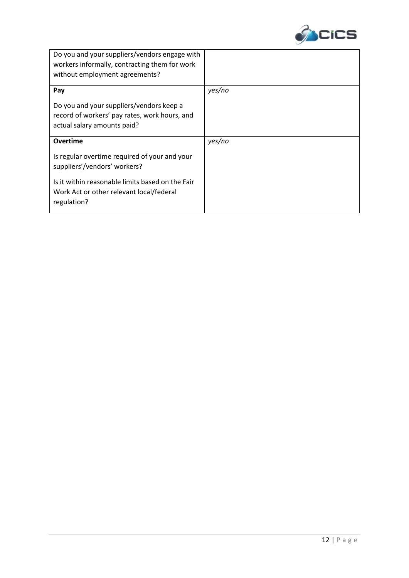

| Do you and your suppliers/vendors engage with<br>workers informally, contracting them for work<br>without employment agreements? |        |
|----------------------------------------------------------------------------------------------------------------------------------|--------|
| Pay                                                                                                                              | yes/no |
| Do you and your suppliers/vendors keep a<br>record of workers' pay rates, work hours, and<br>actual salary amounts paid?         |        |
| <b>Overtime</b>                                                                                                                  | yes/no |
| Is regular overtime required of your and your<br>suppliers'/vendors' workers?                                                    |        |
| Is it within reasonable limits based on the Fair<br>Work Act or other relevant local/federal<br>regulation?                      |        |